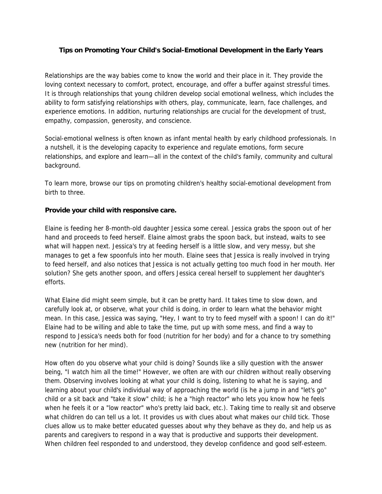# **Tips on Promoting Your Child's Social-Emotional Development in the Early Years**

Relationships are the way babies come to know the world and their place in it. They provide the loving context necessary to comfort, protect, encourage, and offer a buffer against stressful times. It is through relationships that young children develop social emotional wellness, which includes the ability to form satisfying relationships with others, play, communicate, learn, face challenges, and experience emotions. In addition, nurturing relationships are crucial for the development of trust, empathy, compassion, generosity, and conscience.

Social-emotional wellness is often known as infant mental health by early childhood professionals. In a nutshell, it is the developing capacity to experience and regulate emotions, form secure relationships, and explore and learn—all in the context of the child's family, community and cultural background.

To learn more, browse our tips on promoting children's healthy social-emotional development from birth to three.

# **Provide your child with responsive care.**

Elaine is feeding her 8-month-old daughter Jessica some cereal. Jessica grabs the spoon out of her hand and proceeds to feed herself. Elaine almost grabs the spoon back, but instead, waits to see what will happen next. Jessica's try at feeding herself is a little slow, and very messy, but she manages to get a few spoonfuls into her mouth. Elaine sees that Jessica is really involved in trying to feed herself, and also notices that Jessica is not actually getting too much food in her mouth. Her solution? She gets another spoon, and offers Jessica cereal herself to supplement her daughter's efforts.

What Elaine did might seem simple, but it can be pretty hard. It takes time to slow down, and carefully look at, or observe, what your child is doing, in order to learn what the behavior might mean. In this case, Jessica was saying, "Hey, I want to try to feed myself with a spoon! I can do it!" Elaine had to be willing and able to take the time, put up with some mess, and find a way to respond to Jessica's needs both for food (nutrition for her body) and for a chance to try something new (nutrition for her mind).

How often do you observe what your child is doing? Sounds like a silly question with the answer being, "I watch him all the time!" However, we often are with our children without really observing them. Observing involves looking at what your child is doing, listening to what he is saying, and learning about your child's individual way of approaching the world (is he a jump in and "let's go" child or a sit back and "take it slow" child; is he a "high reactor" who lets you know how he feels when he feels it or a "low reactor" who's pretty laid back, etc.). Taking time to really sit and observe what children do can tell us a lot. It provides us with clues about what makes our child tick. Those clues allow us to make better educated guesses about why they behave as they do, and help us as parents and caregivers to respond in a way that is productive and supports their development. When children feel responded to and understood, they develop confidence and good self-esteem.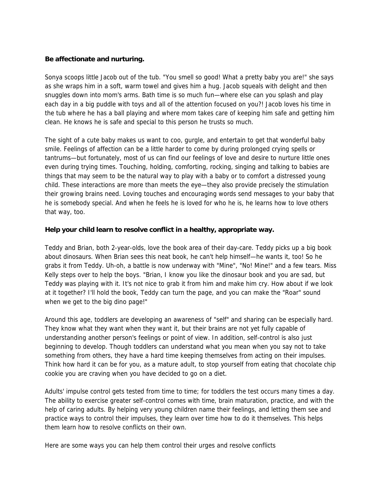### **Be affectionate and nurturing.**

Sonya scoops little Jacob out of the tub. "You smell so good! What a pretty baby you are!" she says as she wraps him in a soft, warm towel and gives him a hug. Jacob squeals with delight and then snuggles down into mom's arms. Bath time is so much fun—where else can you splash and play each day in a big puddle with toys and all of the attention focused on you?! Jacob loves his time in the tub where he has a ball playing and where mom takes care of keeping him safe and getting him clean. He knows he is safe and special to this person he trusts so much.

The sight of a cute baby makes us want to coo, gurgle, and entertain to get that wonderful baby smile. Feelings of affection can be a little harder to come by during prolonged crying spells or tantrums—but fortunately, most of us can find our feelings of love and desire to nurture little ones even during trying times. Touching, holding, comforting, rocking, singing and talking to babies are things that may seem to be the natural way to play with a baby or to comfort a distressed young child. These interactions are more than meets the eye—they also provide precisely the stimulation their growing brains need. Loving touches and encouraging words send messages to your baby that he is somebody special. And when he feels he is loved for who he is, he learns how to love others that way, too.

## **Help your child learn to resolve conflict in a healthy, appropriate way.**

Teddy and Brian, both 2-year-olds, love the book area of their day-care. Teddy picks up a big book about dinosaurs. When Brian sees this neat book, he can't help himself—he wants it, too! So he grabs it from Teddy. Uh-oh, a battle is now underway with "Mine", "No! Mine!" and a few tears. Miss Kelly steps over to help the boys. "Brian, I know you like the dinosaur book and you are sad, but Teddy was playing with it. It's not nice to grab it from him and make him cry. How about if we look at it together? I'll hold the book, Teddy can turn the page, and you can make the "Roar" sound when we get to the big dino page!"

Around this age, toddlers are developing an awareness of "self" and sharing can be especially hard. They know what they want when they want it, but their brains are not yet fully capable of understanding another person's feelings or point of view. In addition, self-control is also just beginning to develop. Though toddlers can understand what you mean when you say not to take something from others, they have a hard time keeping themselves from acting on their impulses. Think how hard it can be for you, as a mature adult, to stop yourself from eating that chocolate chip cookie you are craving when you have decided to go on a diet.

Adults' impulse control gets tested from time to time; for toddlers the test occurs many times a day. The ability to exercise greater self-control comes with time, brain maturation, practice, and with the help of caring adults. By helping very young children name their feelings, and letting them see and practice ways to control their impulses, they learn over time how to do it themselves. This helps them learn how to resolve conflicts on their own.

Here are some ways you can help them control their urges and resolve conflicts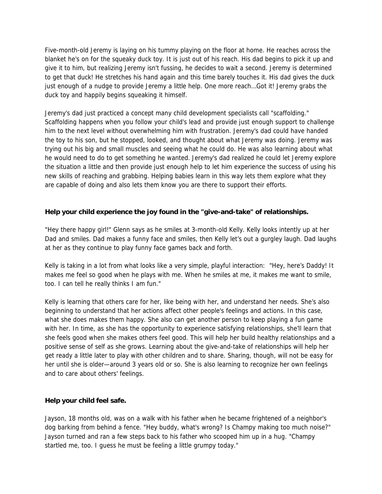Five-month-old Jeremy is laying on his tummy playing on the floor at home. He reaches across the blanket he's on for the squeaky duck toy. It is just out of his reach. His dad begins to pick it up and give it to him, but realizing Jeremy isn't fussing, he decides to wait a second. Jeremy is determined to get that duck! He stretches his hand again and this time barely touches it. His dad gives the duck just enough of a nudge to provide Jeremy a little help. One more reach…Got it! Jeremy grabs the duck toy and happily begins squeaking it himself.

Jeremy's dad just practiced a concept many child development specialists call "scaffolding." Scaffolding happens when you follow your child's lead and provide just enough support to challenge him to the next level without overwhelming him with frustration. Jeremy's dad could have handed the toy to his son, but he stopped, looked, and thought about what Jeremy was doing. Jeremy was trying out his big and small muscles and seeing what he could do. He was also learning about what he would need to do to get something he wanted. Jeremy's dad realized he could let Jeremy explore the situation a little and then provide just enough help to let him experience the success of using his new skills of reaching and grabbing. Helping babies learn in this way lets them explore what they are capable of doing and also lets them know you are there to support their efforts.

#### **Help your child experience the joy found in the "give-and-take" of relationships.**

"Hey there happy girl!" Glenn says as he smiles at 3-month-old Kelly. Kelly looks intently up at her Dad and smiles. Dad makes a funny face and smiles, then Kelly let's out a gurgley laugh. Dad laughs at her as they continue to play funny face games back and forth.

Kelly is taking in a lot from what looks like a very simple, playful interaction: "Hey, here's Daddy! It makes me feel so good when he plays with me. When he smiles at me, it makes me want to smile, too. I can tell he really thinks I am fun."

Kelly is learning that others care for her, like being with her, and understand her needs. She's also beginning to understand that her actions affect other people's feelings and actions. In this case, what she does makes them happy. She also can get another person to keep playing a fun game with her. In time, as she has the opportunity to experience satisfying relationships, she'll learn that she feels good when she makes others feel good. This will help her build healthy relationships and a positive sense of self as she grows. Learning about the give-and-take of relationships will help her get ready a little later to play with other children and to share. Sharing, though, will not be easy for her until she is older—around 3 years old or so. She is also learning to recognize her own feelings and to care about others' feelings.

#### **Help your child feel safe.**

Jayson, 18 months old, was on a walk with his father when he became frightened of a neighbor's dog barking from behind a fence. "Hey buddy, what's wrong? Is Champy making too much noise?" Jayson turned and ran a few steps back to his father who scooped him up in a hug. "Champy startled me, too. I guess he must be feeling a little grumpy today."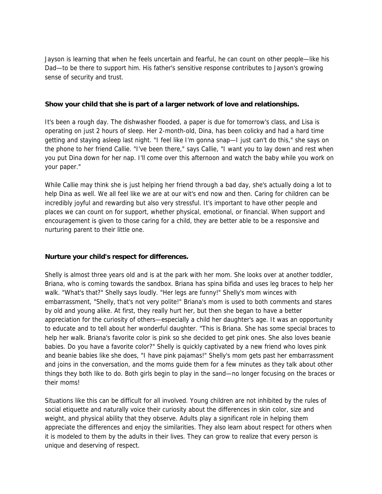Jayson is learning that when he feels uncertain and fearful, he can count on other people—like his Dad—to be there to support him. His father's sensitive response contributes to Jayson's growing sense of security and trust.

#### **Show your child that she is part of a larger network of love and relationships.**

It's been a rough day. The dishwasher flooded, a paper is due for tomorrow's class, and Lisa is operating on just 2 hours of sleep. Her 2-month-old, Dina, has been colicky and had a hard time getting and staying asleep last night. "I feel like I'm gonna snap—I just can't do this," she says on the phone to her friend Callie. "I've been there," says Callie, "I want you to lay down and rest when you put Dina down for her nap. I'll come over this afternoon and watch the baby while you work on your paper."

While Callie may think she is just helping her friend through a bad day, she's actually doing a lot to help Dina as well. We all feel like we are at our wit's end now and then. Caring for children can be incredibly joyful and rewarding but also very stressful. It's important to have other people and places we can count on for support, whether physical, emotional, or financial. When support and encouragement is given to those caring for a child, they are better able to be a responsive and nurturing parent to their little one.

#### **Nurture your child's respect for differences.**

Shelly is almost three years old and is at the park with her mom. She looks over at another toddler, Briana, who is coming towards the sandbox. Briana has spina bifida and uses leg braces to help her walk. "What's that?" Shelly says loudly. "Her legs are funny!" Shelly's mom winces with embarrassment, "Shelly, that's not very polite!" Briana's mom is used to both comments and stares by old and young alike. At first, they really hurt her, but then she began to have a better appreciation for the curiosity of others—especially a child her daughter's age. It was an opportunity to educate and to tell about her wonderful daughter. "This is Briana. She has some special braces to help her walk. Briana's favorite color is pink so she decided to get pink ones. She also loves beanie babies. Do you have a favorite color?" Shelly is quickly captivated by a new friend who loves pink and beanie babies like she does, "I have pink pajamas!" Shelly's mom gets past her embarrassment and joins in the conversation, and the moms guide them for a few minutes as they talk about other things they both like to do. Both girls begin to play in the sand—no longer focusing on the braces or their moms!

Situations like this can be difficult for all involved. Young children are not inhibited by the rules of social etiquette and naturally voice their curiosity about the differences in skin color, size and weight, and physical ability that they observe. Adults play a significant role in helping them appreciate the differences and enjoy the similarities. They also learn about respect for others when it is modeled to them by the adults in their lives. They can grow to realize that every person is unique and deserving of respect.